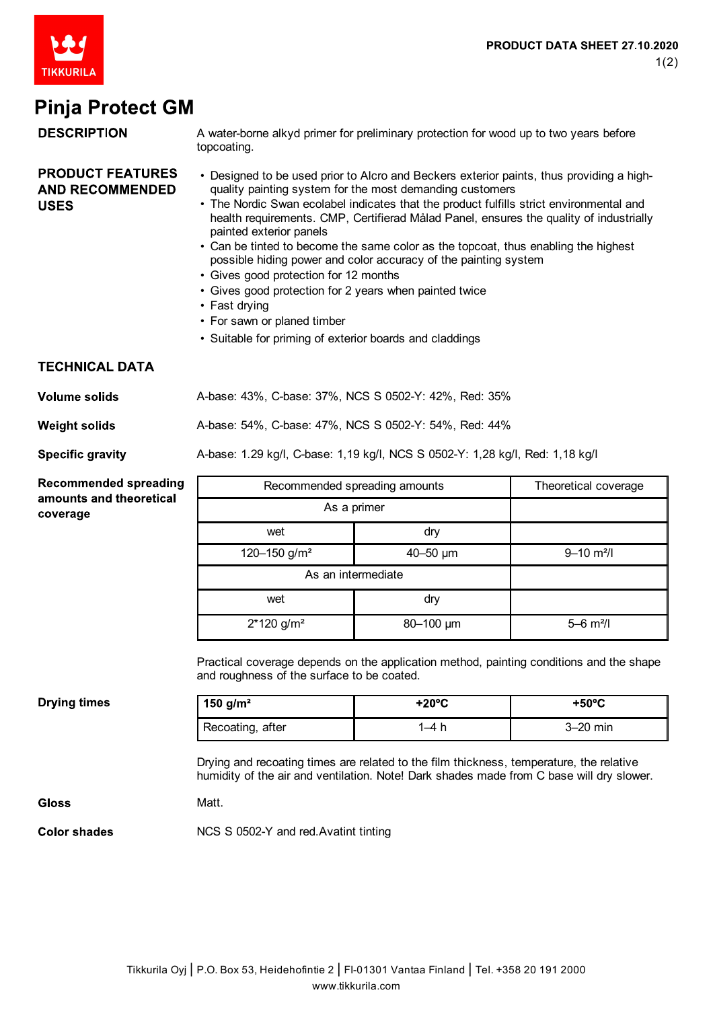

## **Pinja Protect GM**

| <b>DESCRIPTION</b>                                                  | A water-borne alkyd primer for preliminary protection for wood up to two years before<br>topcoating.                                                                                                                                                                                                                                                                                                                                                                                                                                                                                                                                                                                                                                        |                 |                            |
|---------------------------------------------------------------------|---------------------------------------------------------------------------------------------------------------------------------------------------------------------------------------------------------------------------------------------------------------------------------------------------------------------------------------------------------------------------------------------------------------------------------------------------------------------------------------------------------------------------------------------------------------------------------------------------------------------------------------------------------------------------------------------------------------------------------------------|-----------------|----------------------------|
| <b>PRODUCT FEATURES</b><br><b>AND RECOMMENDED</b><br><b>USES</b>    | • Designed to be used prior to Alcro and Beckers exterior paints, thus providing a high-<br>quality painting system for the most demanding customers<br>• The Nordic Swan ecolabel indicates that the product fulfills strict environmental and<br>health requirements. CMP, Certifierad Målad Panel, ensures the quality of industrially<br>painted exterior panels<br>• Can be tinted to become the same color as the topcoat, thus enabling the highest<br>possible hiding power and color accuracy of the painting system<br>• Gives good protection for 12 months<br>· Gives good protection for 2 years when painted twice<br>• Fast drying<br>• For sawn or planed timber<br>• Suitable for priming of exterior boards and claddings |                 |                            |
| <b>TECHNICAL DATA</b>                                               |                                                                                                                                                                                                                                                                                                                                                                                                                                                                                                                                                                                                                                                                                                                                             |                 |                            |
| <b>Volume solids</b>                                                | A-base: 43%, C-base: 37%, NCS S 0502-Y: 42%, Red: 35%                                                                                                                                                                                                                                                                                                                                                                                                                                                                                                                                                                                                                                                                                       |                 |                            |
| <b>Weight solids</b>                                                | A-base: 54%, C-base: 47%, NCS S 0502-Y: 54%, Red: 44%                                                                                                                                                                                                                                                                                                                                                                                                                                                                                                                                                                                                                                                                                       |                 |                            |
| <b>Specific gravity</b>                                             | A-base: 1.29 kg/l, C-base: 1,19 kg/l, NCS S 0502-Y: 1,28 kg/l, Red: 1,18 kg/l                                                                                                                                                                                                                                                                                                                                                                                                                                                                                                                                                                                                                                                               |                 |                            |
| <b>Recommended spreading</b><br>amounts and theoretical<br>coverage | Recommended spreading amounts                                                                                                                                                                                                                                                                                                                                                                                                                                                                                                                                                                                                                                                                                                               |                 | Theoretical coverage       |
|                                                                     | As a primer                                                                                                                                                                                                                                                                                                                                                                                                                                                                                                                                                                                                                                                                                                                                 |                 |                            |
|                                                                     | wet                                                                                                                                                                                                                                                                                                                                                                                                                                                                                                                                                                                                                                                                                                                                         | dry             |                            |
|                                                                     | 120-150 g/m <sup>2</sup>                                                                                                                                                                                                                                                                                                                                                                                                                                                                                                                                                                                                                                                                                                                    | $40 - 50$ µm    | $9 - 10$ m <sup>2</sup> /l |
|                                                                     | As an intermediate                                                                                                                                                                                                                                                                                                                                                                                                                                                                                                                                                                                                                                                                                                                          |                 |                            |
|                                                                     | wet                                                                                                                                                                                                                                                                                                                                                                                                                                                                                                                                                                                                                                                                                                                                         | dry             |                            |
|                                                                     | $2*120$ g/m <sup>2</sup>                                                                                                                                                                                                                                                                                                                                                                                                                                                                                                                                                                                                                                                                                                                    | 80-100 µm       | $5 - 6$ m <sup>2</sup> /l  |
|                                                                     | Practical coverage depends on the application method, painting conditions and the shape<br>and roughness of the surface to be coated.                                                                                                                                                                                                                                                                                                                                                                                                                                                                                                                                                                                                       |                 |                            |
| <b>Drying times</b>                                                 | 150 $g/m^2$                                                                                                                                                                                                                                                                                                                                                                                                                                                                                                                                                                                                                                                                                                                                 | $+20^{\circ}$ C | $+50^{\circ}$ C            |
|                                                                     | Recoating, after                                                                                                                                                                                                                                                                                                                                                                                                                                                                                                                                                                                                                                                                                                                            | $1-4h$          | 3-20 min                   |
|                                                                     | Drying and recoating times are related to the film thickness, temperature, the relative<br>humidity of the air and ventilation. Note! Dark shades made from C base will dry slower.                                                                                                                                                                                                                                                                                                                                                                                                                                                                                                                                                         |                 |                            |
| <b>Gloss</b>                                                        | Matt.                                                                                                                                                                                                                                                                                                                                                                                                                                                                                                                                                                                                                                                                                                                                       |                 |                            |
| <b>Color shades</b>                                                 | NCS S 0502-Y and red. Avatint tinting                                                                                                                                                                                                                                                                                                                                                                                                                                                                                                                                                                                                                                                                                                       |                 |                            |